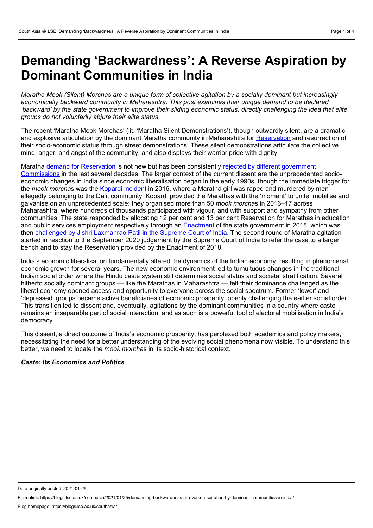# **Demanding 'Backwardness': A Reverse Aspiration by Dominant Communities in India**

Maratha Mook (Silent) Morchas are a unique form of collective agitation by a socially dominant but increasingly *economically backward community in Maharashtra. This post examines their unique demand to be declared* 'backward' by the state government to improve their sliding economic status, directly challenging the idea that elite *groups do not voluntarily abjure their elite status.*

The recent 'Maratha Mook Morchas' (lit. 'Maratha Silent Demonstrations'), though outwardly silent, are a dramatic and explosive articulation by the dominant Maratha community in Maharashtra for [Reservation](https://en.wikipedia.org/wiki/Reservation_in_India) and resurrection of their socio-economic status through street demonstrations. These silent demonstrations articulate the collective mind, anger, and angst of the community, and also displays their warrior pride with dignity.

Maratha demand for [Reservation](https://indianexpress.com/article/explained/marathas-quota-demand-and-communitys-import-in-state-politics-maratha-verdict-devendra-fadnavis-5803793/) is not new but has been consistently rejected by different government [Commissions](https://www.jstor.org/stable/40278690?seq=1) in the last several decades. The larger context of the current dissent are the unprecedented socio economic changes in India since economic liberalisation began in the early 1990s, though the immediate trigger for the *mook morcha*s was the Kopardi [incident](https://indianexpress.com/article/opinion/kopardi-rape-and-murder-two-tales-of-two-very-different-murder-trials-a-dalit-and-a-maratha-4959776/) in 2016, where a Maratha girl was raped and murdered by men allegedly belonging to the Dalit community. Kopardi provided the Marathas with the 'moment' to unite, mobilise and galvanise on an unprecedented scale: they organised more than 50 *mook morcha*s in 2016–17 across Maharashtra, where hundreds of thousands participated with vigour, and with support and sympathy from other communities. The state responded by allocating 12 per cent and 13 per cent Reservation for Marathas in education and public services employment respectively through an **[Enactment](https://lj.maharashtra.gov.in/Site/Upload/Acts/H%201847%20(SEBC%20Act)%20(1-9).pdf)** of the state government in 2018, which was then challenged by Jishri [Laxmanrao](https://indiankanoon.org/doc/165879409/) Patil in the Supreme Court of India. The second round of Maratha agitation started in reaction to the September 2020 judgement by the Supreme Court of India to refer the case to a larger bench and to stay the Reservation provided by the Enactment of 2018.

India's economic liberalisation fundamentally altered the dynamics of the Indian economy, resulting in phenomenal economic growth for several years. The new economic environment led to tumultuous changes in the traditional Indian social order where the Hindu caste system still determines social status and societal stratification. Several hitherto socially dominant groups — like the Marathas in Maharashtra — felt their dominance challenged as the liberal economy opened access and opportunity to everyone across the social spectrum. Former 'lower' and 'depressed' groups became active beneficiaries of economic prosperity, openly challenging the earlier social order. This transition led to dissent and, eventually, agitations by the dominant communities in a country where caste remains an inseparable part of social interaction, and as such is a powerful tool of electoral mobilisation in India's democracy.

This dissent, a direct outcome of India's economic prosperity, has perplexed both academics and policy makers, necessitating the need for a better understanding of the evolving social phenomena now visible. To understand this better, we need to locate the *mook morcha*s in its socio-historical context.

### *Caste: Its Economics and Politics*

Date originally posted: 2021-01-25

Permalink: https://blogs.lse.ac.uk/southasia/2021/01/25/demanding-backwardness-a-reverse-aspiration-by-dominant-communities-in-india/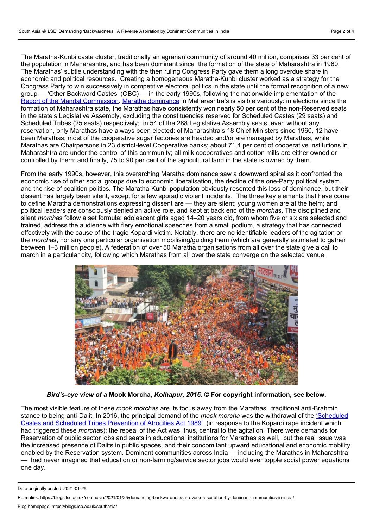The Maratha-Kunbi caste cluster, traditionally an agrarian community of around 40 million, comprises 33 per cent of the population in Maharashtra, and has been dominant since the formation of the state of Maharashtra in 1960. The Marathas' subtle understanding with the then ruling Congress Party gave them along overdue share in economic and political resources. Creating a homogeneous Maratha-Kunbi cluster worked as a strategy for the Congress Party to win successively in competitive electoral politics in the state until the formal recognition of a new group — 'Other Backward Castes' (OBC) — in the early 1990s, following the nationwide implementation of the Report of the Mandal [Commission](http://www.ncbc.nic.in/User_Panel/UserView.aspx?TypeID=1161). Maratha [dominance](https://en.wikipedia.org/wiki/Politics_of_Maharashtra) in Maharashtra's is visible variously: in elections since the formation of Maharashtra state, the Marathas have consistently won nearly 50 per cent of the non-Reserved seats in the state's Legislative Assembly, excluding the constituencies reserved for Scheduled Castes (29 seats) and Scheduled Tribes (25 seats) respectively; in 54 of the 288 Legislative Assembly seats, even without any reservation, only Marathas have always been elected; of Maharashtra's 18 Chief Ministers since 1960, 12 have been Marathas; most of the cooperative sugar factories are headed and/or are managed by Marathas, while Marathas are Chairpersons in 23 district-level Cooperative banks; about 71.4 per cent of cooperative institutions in Maharashtra are under the control of this community; all milk cooperatives and cotton mills are either owned or controlled by them; and finally, 75 to 90 per cent of the agricultural land in the state is owned by them.

From the early 1990s, however, this overarching Maratha dominance saw a downward spiral as it confronted the economic rise of other social groups due to economic liberalisation, the decline of the one-Party political system, and the rise of coalition politics. The Maratha-Kunbi population obviously resented this loss of dominance, but their dissent has largely been silent, except for a few sporadic violent incidents. The three key elements that have come to define Maratha demonstrations expressing dissent are — they are silent; young women are at the helm; and political leaders are consciously denied an active role, and kept at back end of the *morcha*s. The disciplined and silent *morcha*s follow a set formula: adolescent girls aged 14–20 years old, from whom five or six are selected and trained, address the audience with fiery emotional speeches from asmall podium, a strategy that has connected effectively with the cause of the tragic Kopardi victim. Notably, there are no identifiable leaders of the agitation or the *morcha*s, nor any one particular organisation mobilising/guiding them (which are generally estimated to gather between 1–3 million people). A federation of over 50 Maratha organisations from all over the state give a call to march in a particular city, following which Marathas from all over the state converge on the selected venue.



*Bird's-eye view of a* **Mook Morcha,** *Kolhapur, 2016.* **© For copyright information, see below.**

The most visible feature of these *mook morcha*s are its focus away from the Marathas' traditional anti-Brahmin stance to being anti-Dalit. In 2016, the principal demand of the *mook morcha* was the withdrawal of the ['Scheduled](http://socialjustice.nic.in/writereaddata/UploadFile/The%20Scheduled%20Castes%20and%20Scheduled%20Tribes.pdf) Castes and Scheduled Tribes Prevention of Atrocities Act 1989' (in response to the Kopardi rape incident which had triggered these *morcha*s); the repeal of the Act was, thus, central to the agitation. There were demands for Reservation of public sector jobs and seats in educational institutions for Marathas as well, but the real issue was the increased presence of Dalits in public spaces, and their concomitant upward educational and economic mobility enabled by the Reservation system. Dominant communities across India — including the Marathas in Maharashtra — had never imagined that education or non-farming/service sector jobs would ever topple social power equations one day.

Date originally posted: 2021-01-25

Permalink: https://blogs.lse.ac.uk/southasia/2021/01/25/demanding-backwardness-a-reverse-aspiration-by-dominant-communities-in-india/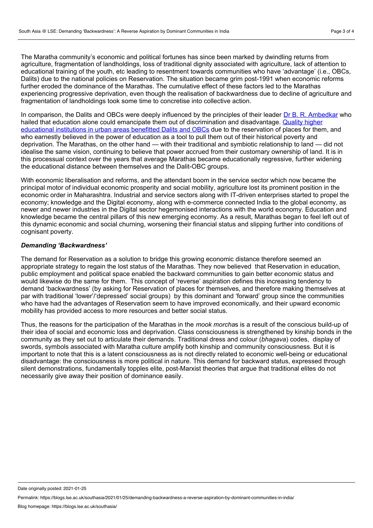The Maratha community's economic and political fortunes has since been marked by dwindling returns from agriculture, fragmentation of landholdings, loss of traditional dignity associated with agriculture, lack of attention to educational training of the youth, etc leading to resentment towards communities who have 'advantage' (i.e., OBCs, Dalits) due to the national policies on Reservation. The situation became grim post-1991 when economic reforms further eroded the dominance of the Marathas. The cumulative effect of these factors led to the Marathas experiencing progressive deprivation, even though the realisation of backwardness due to decline of agriculture and fragmentation of landholdings took some time to concretise into collective action.

In comparison, the Dalits and OBCs were deeply influenced by the principles of their leader Dr B. R. [Ambedkar](http://www.columbia.edu/itc/mealac/pritchett/00ambedkar/index.html) who hailed that education alone could emancipate them out of discrimination and [disadvantage.](https://www.jstor.org/stable/4412381?seq=1) Quality higher educational institutions in urban areas benefitted Dalits and OBCs due to the reservation of places for them, and who earnestly believed in the power of education as a tool to pull them out of their historical poverty and deprivation. The Marathas, on the other hand — with their traditional and symbiotic relationship to land — did not idealise the same vision, continuing to believe that power accrued from their customary ownership of land. It is in this processual context over the years that average Marathas became educationally regressive, further widening the educational distance between themselves and the Dalit-OBC groups.

With economic liberalisation and reforms, and the attendant boom in the service sector which now became the principal motor of individual economic prosperity and social mobility, agriculture lost its prominent position in the economic order in Maharashtra. Industrial and service sectors along with IT-driven enterprises started to propel the economy; knowledge and the Digital economy, along with e-commerce connected India to the global economy, as newer and newer industries in the Digital sector hegemonised interactions with the world economy. Education and knowledge became the central pillars of this new emerging economy. As a result, Marathas began to feel left out of this dynamic economic and social churning, worsening their financial status and slipping further into conditions of cognisant poverty.

#### *Demanding 'Backwardness'*

The demand for Reservation as a solution to bridge this growing economic distance therefore seemed an appropriate strategy to regain the lost status of the Marathas. They now believed that Reservation in education, public employment and political space enabled the backward communities to gain better economic status and would likewise do the same for them. This concept of 'reverse' aspiration defines this increasing tendency to demand 'backwardness' (by asking for Reservation of places for themselves, and therefore making themselves at par with traditional 'lower'/'depressed' social groups) by this dominant and 'forward' group since the communities who have had the advantages of Reservation seem to have improved economically, and their upward economic mobility has provided access to more resources and better social status.

Thus, the reasons for the participation of the Marathas in the *mook morcha*s is a result of the conscious build-up of their idea of social and economic loss and deprivation. Class consciousness is strengthened by kinship bonds in the community as they set out to articulate their demands. Traditional dress and colour (*bhagava*) codes, display of swords, symbols associated with Maratha culture amplify both kinship and community consciousness. But it is important to note that this is a latent consciousness as is not directly related to economic well-being or educational disadvantage: the consciousness is more political in nature. This demand for backward status, expressed through silent demonstrations, fundamentally topples elite, post-Marxist theories that argue that traditional elites do not necessarily give away their position of dominance easily.

Date originally posted: 2021-01-25

Permalink: https://blogs.lse.ac.uk/southasia/2021/01/25/demanding-backwardness-a-reverse-aspiration-by-dominant-communities-in-india/